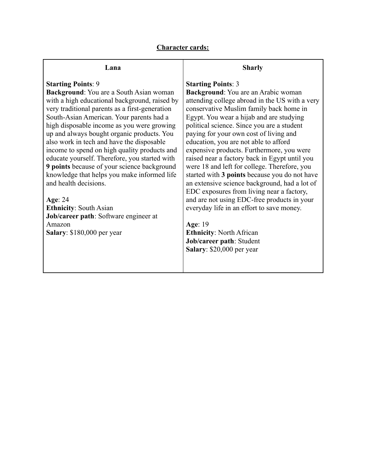# **Character cards:**

## **Lana**

# **Starting Points**: 9

**Background**: You are a South Asian woman with a high educational background, raised by very traditional parents as a first-generation South-Asian American. Your parents had a high disposable income as you were growing up and always bought organic products. You also work in tech and have the disposable income to spend on high quality products and educate yourself. Therefore, you started with **9 points** because of your science background knowledge that helps you make informed life and health decisions.

**Age**: 24 **Ethnicity**: South Asian **Job/career path**: Software engineer at Amazon **Salary**: \$180,000 per year

#### **Sharly**

### **Starting Points**: 3

**Background**: You are an Arabic woman attending college abroad in the US with a very conservative Muslim family back home in Egypt. You wear a hijab and are studying political science. Since you are a student paying for your own cost of living and education, you are not able to afford expensive products. Furthermore, you were raised near a factory back in Egypt until you were 18 and left for college. Therefore, you started with **3 points** because you do not have an extensive science background, had a lot of EDC exposures from living near a factory, and are not using EDC-free products in your everyday life in an effort to save money.

**Age**: 19 **Ethnicity**: North African **Job/career path**: Student **Salary**: \$20,000 per year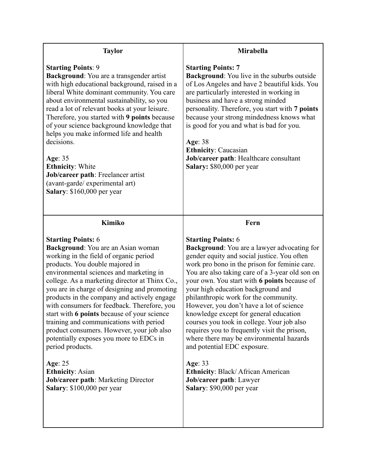| <b>Taylor</b>                                                                                                                                                                                                                                                                                                                                                                                                                                                                                                                                                                                                                                                                                                   | <b>Mirabella</b>                                                                                                                                                                                                                                                                                                                                                                                                                                                                                                                                                                                                                                                                                                                         |
|-----------------------------------------------------------------------------------------------------------------------------------------------------------------------------------------------------------------------------------------------------------------------------------------------------------------------------------------------------------------------------------------------------------------------------------------------------------------------------------------------------------------------------------------------------------------------------------------------------------------------------------------------------------------------------------------------------------------|------------------------------------------------------------------------------------------------------------------------------------------------------------------------------------------------------------------------------------------------------------------------------------------------------------------------------------------------------------------------------------------------------------------------------------------------------------------------------------------------------------------------------------------------------------------------------------------------------------------------------------------------------------------------------------------------------------------------------------------|
| <b>Starting Points: 9</b><br>Background: You are a transgender artist<br>with high educational background, raised in a<br>liberal White dominant community. You care<br>about environmental sustainability, so you<br>read a lot of relevant books at your leisure.<br>Therefore, you started with 9 points because<br>of your science background knowledge that<br>helps you make informed life and health<br>decisions.<br>Age: 35<br><b>Ethnicity: White</b><br>Job/career path: Freelancer artist<br>(avant-garde/experimental art)<br>Salary: \$160,000 per year                                                                                                                                           | <b>Starting Points: 7</b><br><b>Background:</b> You live in the suburbs outside<br>of Los Angeles and have 2 beautiful kids. You<br>are particularly interested in working in<br>business and have a strong minded<br>personality. Therefore, you start with 7 points<br>because your strong mindedness knows what<br>is good for you and what is bad for you.<br>Age: 38<br><b>Ethnicity: Caucasian</b><br>Job/career path: Healthcare consultant<br>Salary: \$80,000 per year                                                                                                                                                                                                                                                          |
| Kimiko                                                                                                                                                                                                                                                                                                                                                                                                                                                                                                                                                                                                                                                                                                          | Fern                                                                                                                                                                                                                                                                                                                                                                                                                                                                                                                                                                                                                                                                                                                                     |
| <b>Starting Points: 6</b><br>Background: You are an Asian woman<br>working in the field of organic period<br>products. You double majored in<br>environmental sciences and marketing in<br>college. As a marketing director at Thinx Co.,<br>you are in charge of designing and promoting<br>products in the company and actively engage<br>with consumers for feedback. Therefore, you<br>start with 6 points because of your science<br>training and communications with period<br>product consumers. However, your job also<br>potentially exposes you more to EDCs in<br>period products.<br>Age: 25<br><b>Ethnicity: Asian</b><br><b>Job/career path: Marketing Director</b><br>Salary: \$100,000 per year | <b>Starting Points: 6</b><br>Background: You are a lawyer advocating for<br>gender equity and social justice. You often<br>work pro bono in the prison for feminie care.<br>You are also taking care of a 3-year old son on<br>your own. You start with 6 points because of<br>your high education background and<br>philanthropic work for the community.<br>However, you don't have a lot of science<br>knowledge except for general education<br>courses you took in college. Your job also<br>requires you to frequently visit the prison,<br>where there may be environmental hazards<br>and potential EDC exposure.<br>Age: 33<br><b>Ethnicity: Black/African American</b><br>Job/career path: Lawyer<br>Salary: \$90,000 per year |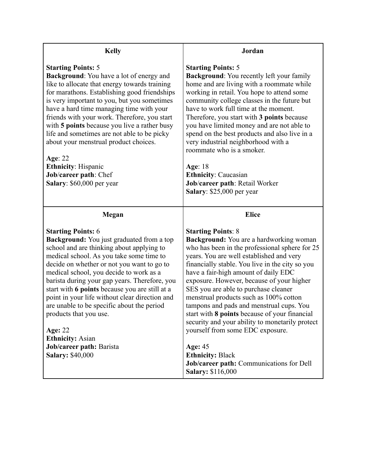| <b>Kelly</b>                                                                                                                                                                                                                                                                                                                                                                                                                                                                                                                                                                                     | Jordan                                                                                                                                                                                                                                                                                                                                                                                                                                                                                                                                                                                                                          |
|--------------------------------------------------------------------------------------------------------------------------------------------------------------------------------------------------------------------------------------------------------------------------------------------------------------------------------------------------------------------------------------------------------------------------------------------------------------------------------------------------------------------------------------------------------------------------------------------------|---------------------------------------------------------------------------------------------------------------------------------------------------------------------------------------------------------------------------------------------------------------------------------------------------------------------------------------------------------------------------------------------------------------------------------------------------------------------------------------------------------------------------------------------------------------------------------------------------------------------------------|
| <b>Starting Points: 5</b><br>Background: You have a lot of energy and<br>like to allocate that energy towards training<br>for marathons. Establishing good friendships<br>is very important to you, but you sometimes<br>have a hard time managing time with your<br>friends with your work. Therefore, you start<br>with 5 points because you live a rather busy<br>life and sometimes are not able to be picky<br>about your menstrual product choices.<br>Age: 22<br><b>Ethnicity: Hispanic</b><br>Job/career path: Chef<br>Salary: \$60,000 per year                                         | <b>Starting Points: 5</b><br><b>Background:</b> You recently left your family<br>home and are living with a roommate while<br>working in retail. You hope to attend some<br>community college classes in the future but<br>have to work full time at the moment.<br>Therefore, you start with 3 points because<br>you have limited money and are not able to<br>spend on the best products and also live in a<br>very industrial neighborhood with a<br>roommate who is a smoker.<br><b>Age: 18</b><br><b>Ethnicity: Caucasian</b><br>Job/career path: Retail Worker<br>Salary: \$25,000 per year                               |
| Megan                                                                                                                                                                                                                                                                                                                                                                                                                                                                                                                                                                                            | <b>Elice</b>                                                                                                                                                                                                                                                                                                                                                                                                                                                                                                                                                                                                                    |
| <b>Starting Points: 6</b><br><b>Background:</b> You just graduated from a top<br>school and are thinking about applying to<br>medical school. As you take some time to<br>decide on whether or not you want to go to<br>medical school, you decide to work as a<br>barista during your gap years. Therefore, you<br>start with 6 points because you are still at a<br>point in your life without clear direction and<br>are unable to be specific about the period<br>products that you use.<br><b>Age: 22</b><br><b>Ethnicity: Asian</b><br>Job/career path: Barista<br><b>Salary: \$40,000</b> | <b>Starting Points: 8</b><br><b>Background:</b> You are a hardworking woman<br>who has been in the professional sphere for 25<br>years. You are well established and very<br>financially stable. You live in the city so you<br>have a fair-high amount of daily EDC<br>exposure. However, because of your higher<br>SES you are able to purchase cleaner<br>menstrual products such as 100% cotton<br>tampons and pads and menstrual cups. You<br>start with 8 points because of your financial<br>security and your ability to monetarily protect<br>yourself from some EDC exposure.<br>Age: $45$<br><b>Ethnicity: Black</b> |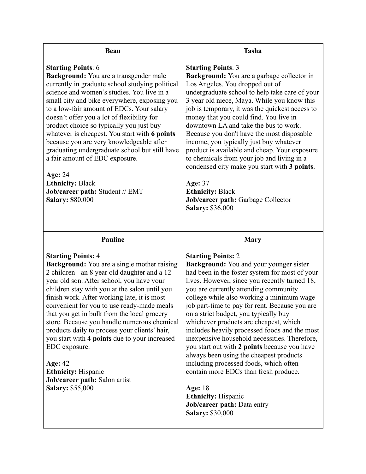| <b>Beau</b>                                                                                                                                                                                                                                                                                                                                                                                                                                                                                                                                                                                                                                             | <b>Tasha</b>                                                                                                                                                                                                                                                                                                                                                                                                                                                                                                                                                                                                                                                                                                                                                                                               |
|---------------------------------------------------------------------------------------------------------------------------------------------------------------------------------------------------------------------------------------------------------------------------------------------------------------------------------------------------------------------------------------------------------------------------------------------------------------------------------------------------------------------------------------------------------------------------------------------------------------------------------------------------------|------------------------------------------------------------------------------------------------------------------------------------------------------------------------------------------------------------------------------------------------------------------------------------------------------------------------------------------------------------------------------------------------------------------------------------------------------------------------------------------------------------------------------------------------------------------------------------------------------------------------------------------------------------------------------------------------------------------------------------------------------------------------------------------------------------|
| <b>Starting Points: 6</b><br>Background: You are a transgender male<br>currently in graduate school studying political<br>science and women's studies. You live in a<br>small city and bike everywhere, exposing you<br>to a low-fair amount of EDCs. Your salary<br>doesn't offer you a lot of flexibility for<br>product choice so typically you just buy<br>whatever is cheapest. You start with 6 points<br>because you are very knowledgeable after<br>graduating undergraduate school but still have<br>a fair amount of EDC exposure.<br><b>Age: 24</b><br><b>Ethnicity: Black</b><br>Job/career path: Student // EMT<br><b>Salary: \$80,000</b> | <b>Starting Points: 3</b><br><b>Background:</b> You are a garbage collector in<br>Los Angeles. You dropped out of<br>undergraduate school to help take care of your<br>3 year old niece, Maya. While you know this<br>job is temporary, it was the quickest access to<br>money that you could find. You live in<br>downtown LA and take the bus to work.<br>Because you don't have the most disposable<br>income, you typically just buy whatever<br>product is available and cheap. Your exposure<br>to chemicals from your job and living in a<br>condensed city make you start with 3 points.<br><b>Age: 37</b><br><b>Ethnicity: Black</b><br>Job/career path: Garbage Collector<br><b>Salary: \$36,000</b>                                                                                             |
| <b>Pauline</b>                                                                                                                                                                                                                                                                                                                                                                                                                                                                                                                                                                                                                                          | <b>Mary</b>                                                                                                                                                                                                                                                                                                                                                                                                                                                                                                                                                                                                                                                                                                                                                                                                |
| <b>Starting Points: 4</b><br><b>Background:</b> You are a single mother raising<br>2 children - an 8 year old daughter and a 12<br>year old son. After school, you have your<br>children stay with you at the salon until you<br>finish work. After working late, it is most<br>convenient for you to use ready-made meals<br>that you get in bulk from the local grocery<br>store. Because you handle numerous chemical<br>products daily to process your clients' hair,<br>you start with 4 points due to your increased<br>EDC exposure.<br><b>Age: 42</b><br><b>Ethnicity:</b> Hispanic<br>Job/career path: Salon artist<br><b>Salary: \$55,000</b> | <b>Starting Points: 2</b><br><b>Background:</b> You and your younger sister<br>had been in the foster system for most of your<br>lives. However, since you recently turned 18,<br>you are currently attending community<br>college while also working a minimum wage<br>job part-time to pay for rent. Because you are<br>on a strict budget, you typically buy<br>whichever products are cheapest, which<br>includes heavily processed foods and the most<br>inexpensive household necessities. Therefore,<br>you start out with 2 points because you have<br>always been using the cheapest products<br>including processed foods, which often<br>contain more EDCs than fresh produce.<br><b>Age:</b> 18<br><b>Ethnicity:</b> Hispanic<br><b>Job/career path: Data entry</b><br><b>Salary: \$30,000</b> |